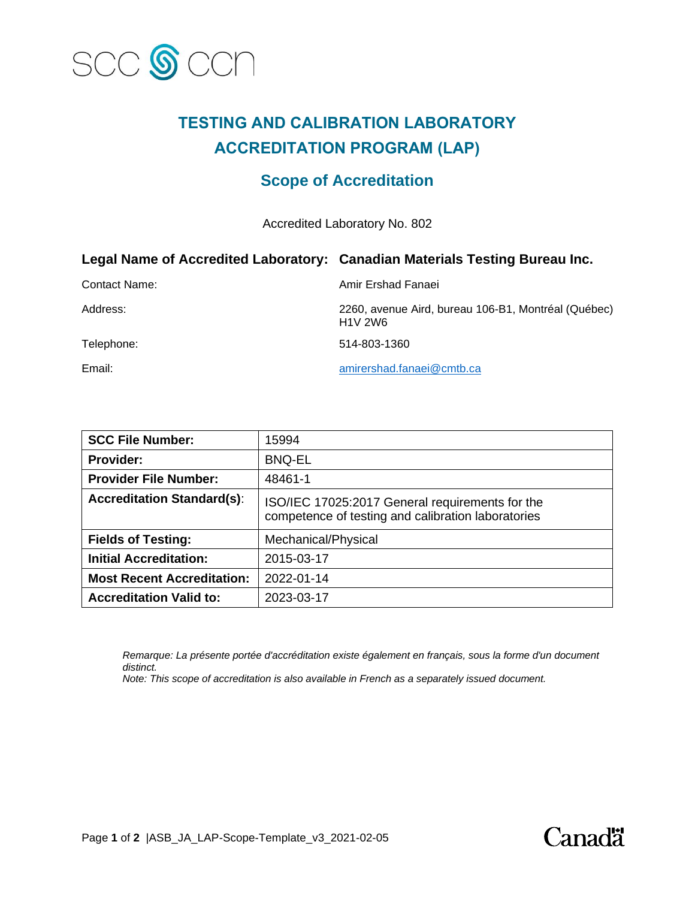

# **TESTING AND CALIBRATION LABORATORY ACCREDITATION PROGRAM (LAP)**

## **Scope of Accreditation**

Accredited Laboratory No. 802

|               | Legal Name of Accredited Laboratory: Canadian Materials Testing Bureau Inc. |
|---------------|-----------------------------------------------------------------------------|
| Contact Name: | Amir Ershad Fanaei                                                          |
| Address:      | 2260, avenue Aird, bureau 106-B1, Montréal (Québec)<br><b>H1V 2W6</b>       |
| Telephone:    | 514-803-1360                                                                |
| Email:        | amirershad.fanaei@cmtb.ca                                                   |

| <b>SCC File Number:</b>           | 15994                                                                                                 |
|-----------------------------------|-------------------------------------------------------------------------------------------------------|
| <b>Provider:</b>                  | <b>BNQ-EL</b>                                                                                         |
| <b>Provider File Number:</b>      | 48461-1                                                                                               |
| <b>Accreditation Standard(s):</b> | ISO/IEC 17025:2017 General requirements for the<br>competence of testing and calibration laboratories |
| <b>Fields of Testing:</b>         | Mechanical/Physical                                                                                   |
| <b>Initial Accreditation:</b>     | 2015-03-17                                                                                            |
| <b>Most Recent Accreditation:</b> | 2022-01-14                                                                                            |
| <b>Accreditation Valid to:</b>    | 2023-03-17                                                                                            |

*Remarque: La présente portée d'accréditation existe également en français, sous la forme d'un document distinct.*

*Note: This scope of accreditation is also available in French as a separately issued document.*